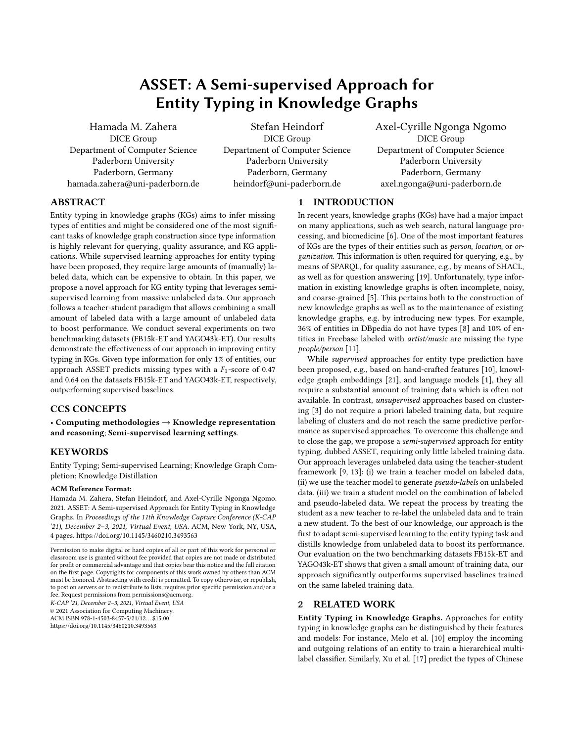# ASSET: A Semi-supervised Approach for Entity Typing in Knowledge Graphs

[Hamada M. Zahera](https://orcid.org/0000-0003-0215-1278) DICE Group Department of Computer Science Paderborn University Paderborn, Germany hamada.zahera@uni-paderborn.de

[Stefan Heindorf](https://orcid.org/0000-0002-4525-6865) DICE Group Department of Computer Science Paderborn University Paderborn, Germany heindorf@uni-paderborn.de

[Axel-Cyrille Ngonga Ngomo](https://orcid.org/0000-0001-7112-3516) DICE Group Department of Computer Science Paderborn University Paderborn, Germany axel.ngonga@uni-paderborn.de

# ABSTRACT

Entity typing in knowledge graphs (KGs) aims to infer missing types of entities and might be considered one of the most significant tasks of knowledge graph construction since type information is highly relevant for querying, quality assurance, and KG applications. While supervised learning approaches for entity typing have been proposed, they require large amounts of (manually) labeled data, which can be expensive to obtain. In this paper, we propose a novel approach for KG entity typing that leverages semisupervised learning from massive unlabeled data. Our approach follows a teacher-student paradigm that allows combining a small amount of labeled data with a large amount of unlabeled data to boost performance. We conduct several experiments on two benchmarking datasets (FB15k-ET and YAGO43k-ET). Our results demonstrate the effectiveness of our approach in improving entity typing in KGs. Given type information for only 1% of entities, our approach ASSET predicts missing types with a  $F_1$ -score of 0.47 and 0.64 on the datasets FB15k-ET and YAGO43k-ET, respectively, outperforming supervised baselines.

# CCS CONCEPTS

• Computing methodologies  $\rightarrow$  Knowledge representation and reasoning; Semi-supervised learning settings.

### **KEYWORDS**

Entity Typing; Semi-supervised Learning; Knowledge Graph Completion; Knowledge Distillation

#### ACM Reference Format:

Hamada M. Zahera, Stefan Heindorf, and Axel-Cyrille Ngonga Ngomo. 2021. ASSET: A Semi-supervised Approach for Entity Typing in Knowledge Graphs. In Proceedings of the 11th Knowledge Capture Conference (K-CAP '21), December 2–3, 2021, Virtual Event, USA. ACM, New York, NY, USA, [4](#page-3-0) pages.<https://doi.org/10.1145/3460210.3493563>

K-CAP '21, December 2–3, 2021, Virtual Event, USA © 2021 Association for Computing Machinery. ACM ISBN 978-1-4503-8457-5/21/12. . . \$15.00

<https://doi.org/10.1145/3460210.3493563>

## 1 INTRODUCTION

In recent years, knowledge graphs (KGs) have had a major impact on many applications, such as web search, natural language processing, and biomedicine [\[6\]](#page-3-1). One of the most important features of KGs are the types of their entities such as person, location, or organization. This information is often required for querying, e.g., by means of SPARQL, for quality assurance, e.g., by means of SHACL, as well as for question answering [\[19\]](#page-3-2). Unfortunately, type information in existing knowledge graphs is often incomplete, noisy, and coarse-grained [\[5\]](#page-3-3). This pertains both to the construction of new knowledge graphs as well as to the maintenance of existing knowledge graphs, e.g. by introducing new types. For example, 36% of entities in DBpedia do not have types [\[8\]](#page-3-4) and 10% of entities in Freebase labeled with artist/music are missing the type people/person [\[11\]](#page-3-5).

While supervised approaches for entity type prediction have been proposed, e.g., based on hand-crafted features [\[10\]](#page-3-6), knowledge graph embeddings [\[21\]](#page-3-7), and language models [\[1\]](#page-3-8), they all require a substantial amount of training data which is often not available. In contrast, unsupervised approaches based on clustering [\[3\]](#page-3-9) do not require a priori labeled training data, but require labeling of clusters and do not reach the same predictive performance as supervised approaches. To overcome this challenge and to close the gap, we propose a semi-supervised approach for entity typing, dubbed ASSET, requiring only little labeled training data. Our approach leverages unlabeled data using the teacher-student framework [\[9,](#page-3-10) [13\]](#page-3-11): (i) we train a teacher model on labeled data, (ii) we use the teacher model to generate pseudo-labels on unlabeled data, (iii) we train a student model on the combination of labeled and pseudo-labeled data. We repeat the process by treating the student as a new teacher to re-label the unlabeled data and to train a new student. To the best of our knowledge, our approach is the first to adapt semi-supervised learning to the entity typing task and distills knowledge from unlabeled data to boost its performance. Our evaluation on the two benchmarking datasets FB15k-ET and YAGO43k-ET shows that given a small amount of training data, our approach significantly outperforms supervised baselines trained on the same labeled training data.

## 2 RELATED WORK

Entity Typing in Knowledge Graphs. Approaches for entity typing in knowledge graphs can be distinguished by their features and models: For instance, Melo et al. [\[10\]](#page-3-6) employ the incoming and outgoing relations of an entity to train a hierarchical multilabel classifier. Similarly, Xu et al. [\[17\]](#page-3-12) predict the types of Chinese

Permission to make digital or hard copies of all or part of this work for personal or classroom use is granted without fee provided that copies are not made or distributed for profit or commercial advantage and that copies bear this notice and the full citation on the first page. Copyrights for components of this work owned by others than ACM must be honored. Abstracting with credit is permitted. To copy otherwise, or republish, to post on servers or to redistribute to lists, requires prior specific permission and/or a fee. Request permissions from permissions@acm.org.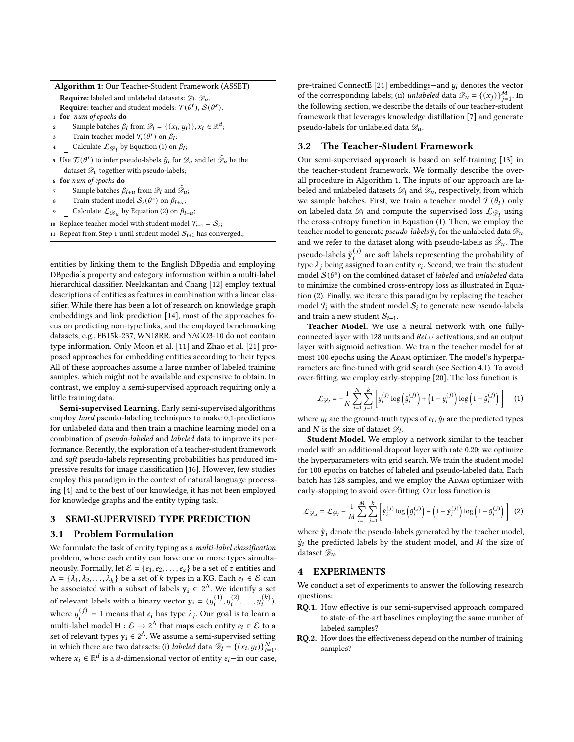| Algorithm 1: Our Teacher-Student Framework (ASSET) |  |  |  |
|----------------------------------------------------|--|--|--|
|----------------------------------------------------|--|--|--|

**Require:** labeled and unlabeled datasets:  $\mathscr{D}_l$ ,  $\mathscr{D}_u$ .

**Require:** teacher and student models:  $\mathcal{T}(\theta^t)$ ,  $\mathcal{S}(\theta^s)$ .

1 for num of epochs do

- 2 Sample batches  $\beta_l$  from  $\mathcal{D}_l = \{(x_i, y_i)\}, x_i \in \mathbb{R}^d$ ; 3 Train teacher model  $\mathcal{T}_i(\theta^t)$  on  $\beta_l$ ;
- 
- 4 Calculate  $\mathcal{L}_{\mathscr{D}_l}$  by Equation [\(1\)](#page-1-0) on  $\beta_l$ ;
- 5 Use  $\mathcal{T}_{\bm i}(\theta^t)$  to infer pseudo-labels  $\tilde{y}_i$  for  $\mathscr{D}_{\bm u}$  and let  $\tilde{\mathscr{D}}_{\bm u}$  be the dataset  $\mathscr{D}_u$  together with pseudo-labels;
- <sup>6</sup> for num of epochs do
- 7 Sample batches  $\beta_{l+u}$  from  $\mathscr{D}_l$  and  $\tilde{\mathscr{D}}_u$ ;
- **8** Train student model  $S_i(\theta^s)$  on  $\beta_{l+u}$ ;
- $\bullet \quad$  Calculate  $\mathcal{L}_{\mathscr{D}_u}$  by Equation [\(2\)](#page-1-1) on  $\beta_{l+u};$

10 Replace teacher model with student model  $\mathcal{T}_{i+1} = \mathcal{S}_i$ ;

<span id="page-1-2"></span>11 Repeat from Step 1 until student model  $S_{i+1}$  has converged.;

entities by linking them to the English DBpedia and employing DBpedia's property and category information within a multi-label hierarchical classifier. Neelakantan and Chang [\[12\]](#page-3-13) employ textual descriptions of entities as features in combination with a linear classifier. While there has been a lot of research on knowledge graph embeddings and link prediction [\[14\]](#page-3-14), most of the approaches focus on predicting non-type links, and the employed benchmarking datasets, e.g., FB15k-237, WN18RR, and YAGO3-10 do not contain type information. Only Moon et al. [\[11\]](#page-3-5) and Zhao et al. [\[21\]](#page-3-7) proposed approaches for embedding entities according to their types. All of these approaches assume a large number of labeled training samples, which might not be available and expensive to obtain. In contrast, we employ a semi-supervised approach requiring only a little training data.

Semi-supervised Learning. Early semi-supervised algorithms employ hard pseudo-labeling techniques to make 0,1-predictions for unlabeled data and then train a machine learning model on a combination of pseudo-labeled and labeled data to improve its performance. Recently, the exploration of a teacher-student framework and soft pseudo-labels representing probabilities has produced impressive results for image classification [\[16\]](#page-3-15). However, few studies employ this paradigm in the context of natural language processing [\[4\]](#page-3-16) and to the best of our knowledge, it has not been employed for knowledge graphs and the entity typing task.

#### 3 SEMI-SUPERVISED TYPE PREDICTION

#### 3.1 Problem Formulation

We formulate the task of entity typing as a multi-label classification problem, where each entity can have one or more types simultaneously. Formally, let  $\mathcal{E} = \{e_1, e_2, \ldots, e_z\}$  be a set of  $z$  entities and  $\Lambda = {\lambda_1, \lambda_2, ..., \lambda_k}$  be a set of *k* types in a KG. Each  $e_i \in \mathcal{E}$  can be associated with a subset of labels  $y_i \in 2^{\Lambda}$ . We identify a set of relevant labels with a binary vector  $y_i = (y_i^{(1)}, y_i^{(2)}, \ldots, y_i^{(k)}),$ where  $y_i^{(j)} = 1$  means that  $e_i$  has type  $\lambda_j$ . Our goal is to learn a multi-label model  $H : \mathcal{E} \to 2^{\Lambda}$  that maps each entity  $e_i \in \mathcal{E}$  to a set of relevant types  $y_i \in 2^\Lambda$ . We assume a semi-supervised setting in which there are two datasets: (i) *labeled* data  $\mathscr{D}_l = \{(x_i, y_i)\}_{i=1}^N$ , where  $x_i \in \mathbb{R}^d$  is a d-dimensional vector of entity  $e_i$ —in our case, pre-trained ConnectE [\[21\]](#page-3-7) embeddings—and  $y_i$  denotes the vector of the corresponding labels; (ii) unlabeled data  $\mathcal{D}_u = \{(x_j)\}_{j=1}^M$ . In the following section, we describe the details of our teacher-student framework that leverages knowledge distillation [\[7\]](#page-3-17) and generate pseudo-labels for unlabeled data  $\mathscr{D}_u$ .

# 3.2 The Teacher-Student Framework

Our semi-supervised approach is based on self-training [\[13\]](#page-3-11) in the teacher-student framework. We formally describe the overall procedure in Algorithm [1.](#page-1-2) The inputs of our approach are labeled and unlabeled datasets  $\mathcal{D}_l$  and  $\mathcal{D}_u$ , respectively, from which we sample batches. First, we train a teacher model  $\mathcal{T}(\theta_t)$  only on labeled data  $\mathscr{D}_l$  and compute the supervised loss  $\mathcal{L}_{\mathscr{D}_l}$  using the cross-entropy function in Equation [\(1\)](#page-1-0). Then, we employ the teacher model to generate *pseudo-labels*  $\tilde{y}_i$  for the unlabeled data  $\mathscr{D}_u$ and we refer to the dataset along with pseudo-labels as  $\tilde{\mathcal{D}}_u$ . The pseudo-labels  $\tilde{\mathbf{y}}_i^{(j)}$  are soft labels representing the probability of type  $\lambda_i$  being assigned to an entity  $e_i$ . Second, we train the student model  $S(\theta^s)$  on the combined dataset of labeled and unlabeled data to minimize the combined cross-entropy loss as illustrated in Equation [\(2\)](#page-1-1). Finally, we iterate this paradigm by replacing the teacher model  $\mathcal{T}_i$  with the student model  $\mathcal{S}_i$  to generate new pseudo-labels and train a new student  $S_{i+1}$ .

Teacher Model. We use a neural network with one fullyconnected layer with 128 units and ReLU activations, and an output layer with sigmoid activation. We train the teacher model for at most 100 epochs using the ADAM optimizer. The model's hyperparameters are fine-tuned with grid search (see Section [4.1\)](#page-2-0). To avoid over-fitting, we employ early-stopping [\[20\]](#page-3-18). The loss function is

<span id="page-1-0"></span>
$$
\mathcal{L}_{\mathcal{D}_l} = -\frac{1}{N} \sum_{i=1}^{N} \sum_{j=1}^{k} \left[ y_i^{(j)} \log \left( \hat{y}_i^{(j)} \right) + \left( 1 - y_i^{(j)} \right) \log \left( 1 - \hat{y}_i^{(j)} \right) \right]
$$
(1)

where  $y_i$  are the ground-truth types of  $e_i$ ,  $\hat{y}_i$  are the predicted types and N is the size of dataset  $\mathscr{D}_l$ .

Student Model. We employ a network similar to the teacher model with an additional dropout layer with rate 0.20; we optimize the hyperparameters with grid search. We train the student model for 100 epochs on batches of labeled and pseudo-labeled data. Each batch has 128 samples, and we employ the ADAM optimizer with early-stopping to avoid over-fitting. Our loss function is

<span id="page-1-1"></span>
$$
\mathcal{L}_{\mathscr{D}_u} = \mathcal{L}_{\mathscr{D}_l} - \frac{1}{M} \sum_{i=1}^{M} \sum_{j=1}^{k} \left[ \tilde{\mathbf{y}}_i^{(j)} \log \left( \hat{y}_i^{(j)} \right) + \left( 1 - \tilde{\mathbf{y}}_i^{(j)} \right) \log \left( 1 - \hat{y}_i^{(j)} \right) \right] \tag{2}
$$

where  $\tilde{\mathbf{y}}_i$  denote the pseudo-labels generated by the teacher model,  $\hat{y}_i$  the predicted labels by the student model, and M the size of dataset  $\mathscr{D}_u$ .

# 4 EXPERIMENTS

We conduct a set of experiments to answer the following research questions:

- RQ.1. How effective is our semi-supervised approach compared to state-of-the-art baselines employing the same number of labeled samples?
- RQ.2. How does the effectiveness depend on the number of training samples?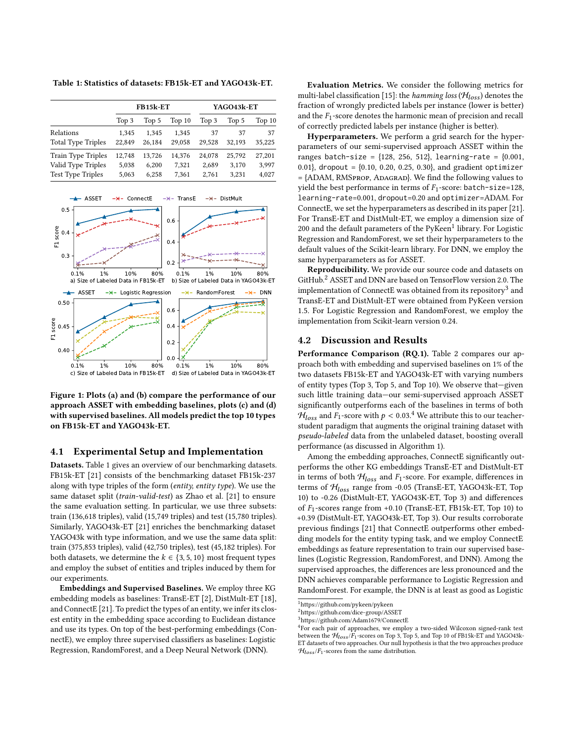<span id="page-2-1"></span>Table 1: Statistics of datasets: FB15k-ET and YAGO43k-ET.

|                                                                      |                          | FB15k-ET                 |                          | YAGO43k-ET               |                          |                          |  |  |  |
|----------------------------------------------------------------------|--------------------------|--------------------------|--------------------------|--------------------------|--------------------------|--------------------------|--|--|--|
|                                                                      | Top 3                    | Top 5                    | Top <sub>10</sub>        | Top 3                    | Top 5                    | Top <sub>10</sub>        |  |  |  |
| Relations<br><b>Total Type Triples</b>                               | 1.345<br>22,849          | 1,345<br>26,184          | 1,345<br>29,058          | 37<br>29.528             | 37<br>32.193             | 37<br>35,225             |  |  |  |
| Train Type Triples<br>Valid Type Triples<br><b>Test Type Triples</b> | 12,748<br>5,038<br>5,063 | 13,726<br>6,200<br>6,258 | 14,376<br>7,321<br>7,361 | 24,078<br>2,689<br>2,761 | 25,792<br>3,170<br>3,231 | 27,201<br>3,997<br>4,027 |  |  |  |

<span id="page-2-6"></span>

Figure 1: Plots (a) and (b) compare the performance of our approach ASSET with embedding baselines, plots (c) and (d) with supervised baselines. All models predict the top 10 types on FB15k-ET and YAGO43k-ET.

#### <span id="page-2-0"></span>4.1 Experimental Setup and Implementation

Datasets. Table [1](#page-2-1) gives an overview of our benchmarking datasets. FB15k-ET [\[21\]](#page-3-7) consists of the benchmarking dataset FB15k-237 along with type triples of the form (entity, entity type). We use the same dataset split (train-valid-test) as Zhao et al. [\[21\]](#page-3-7) to ensure the same evaluation setting. In particular, we use three subsets: train (136,618 triples), valid (15,749 triples) and test (15,780 triples). Similarly, YAGO43k-ET [\[21\]](#page-3-7) enriches the benchmarking dataset YAGO43k with type information, and we use the same data split: train (375,853 triples), valid (42,750 triples), test (45,182 triples). For both datasets, we determine the  $k \in \{3, 5, 10\}$  most frequent types and employ the subset of entities and triples induced by them for our experiments.

Embeddings and Supervised Baselines. We employ three KG embedding models as baselines: TransE-ET [\[2\]](#page-3-19), DistMult-ET [\[18\]](#page-3-20), and ConnectE [\[21\]](#page-3-7). To predict the types of an entity, we infer its closest entity in the embedding space according to Euclidean distance and use its types. On top of the best-performing embeddings (ConnectE), we employ three supervised classifiers as baselines: Logistic Regression, RandomForest, and a Deep Neural Network (DNN).

Evaluation Metrics. We consider the following metrics for multi-label classification [\[15\]](#page-3-21): the hamming loss ( $\mathcal{H}_{loss}$ ) denotes the fraction of wrongly predicted labels per instance (lower is better) and the  $F_1$ -score denotes the harmonic mean of precision and recall of correctly predicted labels per instance (higher is better).

Hyperparameters. We perform a grid search for the hyperparameters of our semi-supervised approach ASSET within the ranges batch-size =  ${128, 256, 512}$ , learning-rate =  ${0.001}$ , 0.01}, dropout =  $\{0.10, 0.20, 0.25, 0.30\}$ , and gradient optimizer  $=$  {ADAM, RMSPROP, ADAGRAD}. We find the following values to yield the best performance in terms of  $F_1$ -score: batch-size=128, learning-rate=0.001, dropout=0.20 and optimizer=ADAM. For ConnectE, we set the hyperparameters as described in its paper [\[21\]](#page-3-7). For TransE-ET and DistMult-ET, we employ a dimension size of 200 and the default parameters of the  $Pv$ Keen<sup>[1](#page-2-2)</sup> library. For Logistic Regression and RandomForest, we set their hyperparameters to the default values of the Scikit-learn library. For DNN, we employ the same hyperparameters as for ASSET.

Reproducibility. We provide our source code and datasets on GitHub.<sup>[2](#page-2-3)</sup> ASSET and DNN are based on TensorFlow version 2.0. The implementation of ConnectE was obtained from its repository $^3$  $^3$  and TransE-ET and DistMult-ET were obtained from PyKeen version 1.5. For Logistic Regression and RandomForest, we employ the implementation from Scikit-learn version 0.24.

#### 4.2 Discussion and Results

Performance Comparison (RQ.1). Table [2](#page-3-22) compares our approach both with embedding and supervised baselines on 1% of the two datasets FB15k-ET and YAGO43k-ET with varying numbers of entity types (Top 3, Top 5, and Top 10). We observe that—given such little training data—our semi-supervised approach ASSET significantly outperforms each of the baselines in terms of both  $\mathcal{H}_{loss}$  and  $F_1$ -score with  $p < 0.03.^4$  $p < 0.03.^4$  We attribute this to our teacherstudent paradigm that augments the original training dataset with pseudo-labeled data from the unlabeled dataset, boosting overall performance (as discussed in Algorithm [1\)](#page-1-2).

Among the embedding approaches, ConnectE significantly outperforms the other KG embeddings TransE-ET and DistMult-ET in terms of both  $H_{loss}$  and  $F_1$ -score. For example, differences in terms of  $H_{loss}$  range from -0.05 (TransE-ET, YAGO43k-ET, Top 10) to -0.26 (DistMult-ET, YAGO43K-ET, Top 3) and differences of  $F_1$ -scores range from +0.10 (TransE-ET, FB15k-ET, Top 10) to +0.39 (DistMult-ET, YAGO43k-ET, Top 3). Our results corroborate previous findings [\[21\]](#page-3-7) that ConnectE outperforms other embedding models for the entity typing task, and we employ ConnectE embeddings as feature representation to train our supervised baselines (Logistic Regression, RandomForest, and DNN). Among the supervised approaches, the differences are less pronounced and the DNN achieves comparable performance to Logistic Regression and RandomForest. For example, the DNN is at least as good as Logistic

<span id="page-2-2"></span><sup>1</sup><https://github.com/pykeen/pykeen>

<span id="page-2-3"></span><sup>2</sup><https://github.com/dice-group/ASSET>

<span id="page-2-4"></span><sup>3</sup><https://github.com/Adam1679/ConnectE>

<span id="page-2-5"></span><sup>&</sup>lt;sup>4</sup> For each pair of approaches, we employ a two-sided Wilcoxon signed-rank test between the  $H_{loss}/F_1$ -scores on Top 3, Top 5, and Top 10 of FB15k-ET and YAGO43k-ET datasets of two approaches. Our null hypothesis is that the two approaches produce  $\mathcal{H}_{loss}/F_1$ -scores from the same distribution.